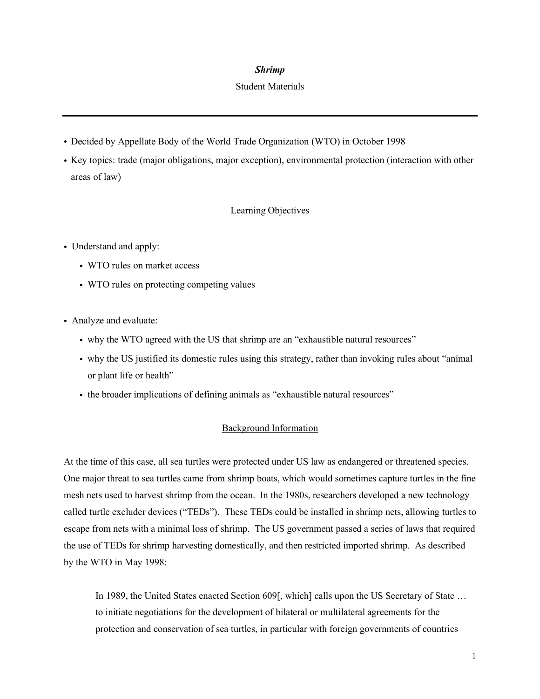#### *Shrimp*

#### Student Materials

- ! Decided by Appellate Body of the World Trade Organization (WTO) in October 1998
- ! Key topics: trade (major obligations, major exception), environmental protection (interaction with other areas of law)

# Learning Objectives

#### ! Understand and apply:

- WTO rules on market access
- ! WTO rules on protecting competing values
- ! Analyze and evaluate:
	- ! why the WTO agreed with the US that shrimp are an "exhaustible natural resources"
	- ! why the US justified its domestic rules using this strategy, rather than invoking rules about "animal or plant life or health"
	- ! the broader implications of defining animals as "exhaustible natural resources"

### Background Information

At the time of this case, all sea turtles were protected under US law as endangered or threatened species. One major threat to sea turtles came from shrimp boats, which would sometimes capture turtles in the fine mesh nets used to harvest shrimp from the ocean. In the 1980s, researchers developed a new technology called turtle excluder devices ("TEDs"). These TEDs could be installed in shrimp nets, allowing turtles to escape from nets with a minimal loss of shrimp. The US government passed a series of laws that required the use of TEDs for shrimp harvesting domestically, and then restricted imported shrimp. As described by the WTO in May 1998:

In 1989, the United States enacted Section 609[, which] calls upon the US Secretary of State ... to initiate negotiations for the development of bilateral or multilateral agreements for the protection and conservation of sea turtles, in particular with foreign governments of countries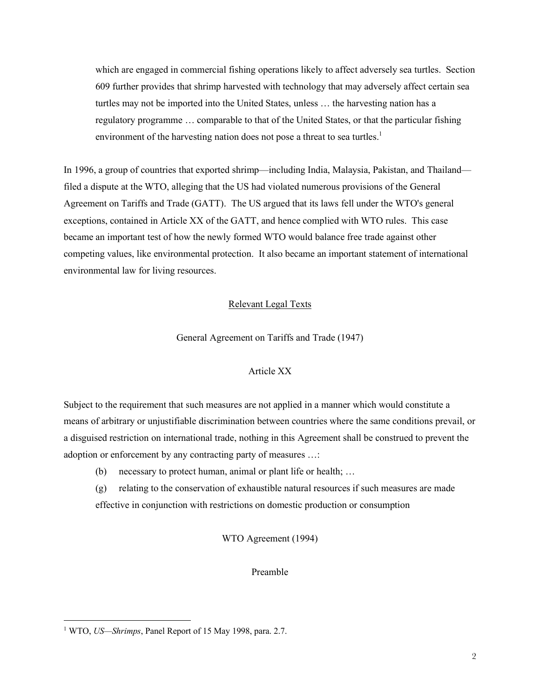which are engaged in commercial fishing operations likely to affect adversely sea turtles. Section 609 further provides that shrimp harvested with technology that may adversely affect certain sea turtles may not be imported into the United States, unless … the harvesting nation has a regulatory programme … comparable to that of the United States, or that the particular fishing environment of the harvesting nation does not pose a threat to sea turtles.<sup>1</sup>

In 1996, a group of countries that exported shrimp—including India, Malaysia, Pakistan, and Thailand filed a dispute at the WTO, alleging that the US had violated numerous provisions of the General Agreement on Tariffs and Trade (GATT). The US argued that its laws fell under the WTO's general exceptions, contained in Article XX of the GATT, and hence complied with WTO rules. This case became an important test of how the newly formed WTO would balance free trade against other competing values, like environmental protection. It also became an important statement of international environmental law for living resources.

# Relevant Legal Texts

General Agreement on Tariffs and Trade (1947)

## Article XX

Subject to the requirement that such measures are not applied in a manner which would constitute a means of arbitrary or unjustifiable discrimination between countries where the same conditions prevail, or a disguised restriction on international trade, nothing in this Agreement shall be construed to prevent the adoption or enforcement by any contracting party of measures …:

(b) necessary to protect human, animal or plant life or health; …

(g) relating to the conservation of exhaustible natural resources if such measures are made effective in conjunction with restrictions on domestic production or consumption

WTO Agreement (1994)

## Preamble

<sup>1</sup> WTO, *US—Shrimps*, Panel Report of 15 May 1998, para. 2.7.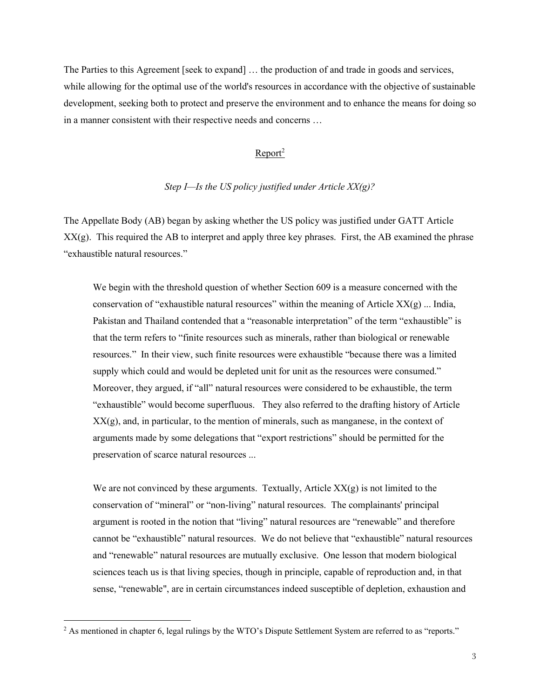The Parties to this Agreement [seek to expand] … the production of and trade in goods and services, while allowing for the optimal use of the world's resources in accordance with the objective of sustainable development, seeking both to protect and preserve the environment and to enhance the means for doing so in a manner consistent with their respective needs and concerns …

# $Report<sup>2</sup>$

## *Step I—Is the US policy justified under Article XX(g)?*

The Appellate Body (AB) began by asking whether the US policy was justified under GATT Article XX(g). This required the AB to interpret and apply three key phrases. First, the AB examined the phrase "exhaustible natural resources."

We begin with the threshold question of whether Section 609 is a measure concerned with the conservation of "exhaustible natural resources" within the meaning of Article  $XX(g)$  ... India, Pakistan and Thailand contended that a "reasonable interpretation" of the term "exhaustible" is that the term refers to "finite resources such as minerals, rather than biological or renewable resources." In their view, such finite resources were exhaustible "because there was a limited supply which could and would be depleted unit for unit as the resources were consumed." Moreover, they argued, if "all" natural resources were considered to be exhaustible, the term "exhaustible" would become superfluous. They also referred to the drafting history of Article  $XX(g)$ , and, in particular, to the mention of minerals, such as manganese, in the context of arguments made by some delegations that "export restrictions" should be permitted for the preservation of scarce natural resources ...

We are not convinced by these arguments. Textually, Article  $XX(g)$  is not limited to the conservation of "mineral" or "non-living" natural resources. The complainants' principal argument is rooted in the notion that "living" natural resources are "renewable" and therefore cannot be "exhaustible" natural resources. We do not believe that "exhaustible" natural resources and "renewable" natural resources are mutually exclusive. One lesson that modern biological sciences teach us is that living species, though in principle, capable of reproduction and, in that sense, "renewable", are in certain circumstances indeed susceptible of depletion, exhaustion and

<sup>&</sup>lt;sup>2</sup> As mentioned in chapter 6, legal rulings by the WTO's Dispute Settlement System are referred to as "reports."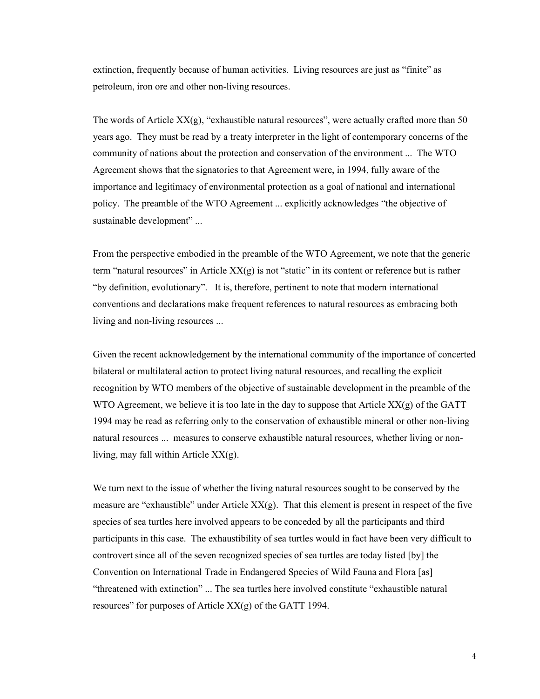extinction, frequently because of human activities. Living resources are just as "finite" as petroleum, iron ore and other non-living resources.

The words of Article  $XX(g)$ , "exhaustible natural resources", were actually crafted more than 50 years ago. They must be read by a treaty interpreter in the light of contemporary concerns of the community of nations about the protection and conservation of the environment ... The WTO Agreement shows that the signatories to that Agreement were, in 1994, fully aware of the importance and legitimacy of environmental protection as a goal of national and international policy. The preamble of the WTO Agreement ... explicitly acknowledges "the objective of sustainable development" ...

From the perspective embodied in the preamble of the WTO Agreement, we note that the generic term "natural resources" in Article  $XX(g)$  is not "static" in its content or reference but is rather "by definition, evolutionary". It is, therefore, pertinent to note that modern international conventions and declarations make frequent references to natural resources as embracing both living and non-living resources ...

Given the recent acknowledgement by the international community of the importance of concerted bilateral or multilateral action to protect living natural resources, and recalling the explicit recognition by WTO members of the objective of sustainable development in the preamble of the WTO Agreement, we believe it is too late in the day to suppose that Article  $XX(g)$  of the GATT 1994 may be read as referring only to the conservation of exhaustible mineral or other non-living natural resources ... measures to conserve exhaustible natural resources, whether living or nonliving, may fall within Article XX(g).

We turn next to the issue of whether the living natural resources sought to be conserved by the measure are "exhaustible" under Article  $XX(g)$ . That this element is present in respect of the five species of sea turtles here involved appears to be conceded by all the participants and third participants in this case. The exhaustibility of sea turtles would in fact have been very difficult to controvert since all of the seven recognized species of sea turtles are today listed [by] the Convention on International Trade in Endangered Species of Wild Fauna and Flora [as] "threatened with extinction" ... The sea turtles here involved constitute "exhaustible natural resources" for purposes of Article  $XX(g)$  of the GATT 1994.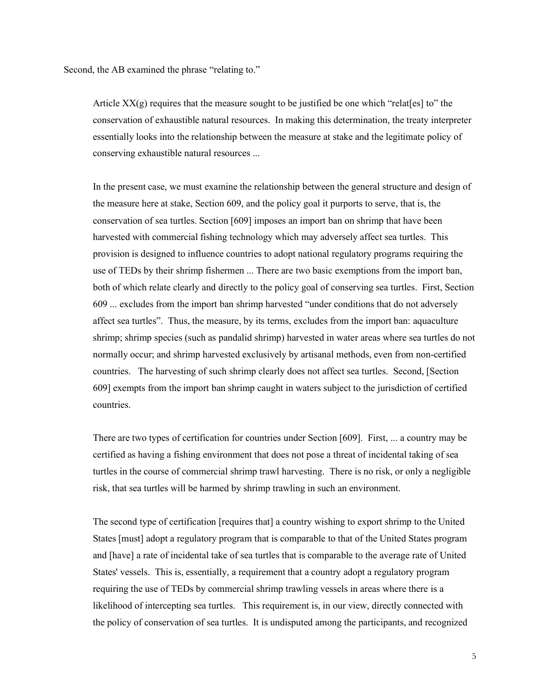Second, the AB examined the phrase "relating to."

Article  $XX(g)$  requires that the measure sought to be justified be one which "relatelles] to" the conservation of exhaustible natural resources. In making this determination, the treaty interpreter essentially looks into the relationship between the measure at stake and the legitimate policy of conserving exhaustible natural resources ...

In the present case, we must examine the relationship between the general structure and design of the measure here at stake, Section 609, and the policy goal it purports to serve, that is, the conservation of sea turtles. Section [609] imposes an import ban on shrimp that have been harvested with commercial fishing technology which may adversely affect sea turtles. This provision is designed to influence countries to adopt national regulatory programs requiring the use of TEDs by their shrimp fishermen ... There are two basic exemptions from the import ban, both of which relate clearly and directly to the policy goal of conserving sea turtles. First, Section 609 ... excludes from the import ban shrimp harvested "under conditions that do not adversely affect sea turtles". Thus, the measure, by its terms, excludes from the import ban: aquaculture shrimp; shrimp species (such as pandalid shrimp) harvested in water areas where sea turtles do not normally occur; and shrimp harvested exclusively by artisanal methods, even from non-certified countries. The harvesting of such shrimp clearly does not affect sea turtles. Second, [Section 609] exempts from the import ban shrimp caught in waters subject to the jurisdiction of certified countries.

There are two types of certification for countries under Section [609]. First, ... a country may be certified as having a fishing environment that does not pose a threat of incidental taking of sea turtles in the course of commercial shrimp trawl harvesting. There is no risk, or only a negligible risk, that sea turtles will be harmed by shrimp trawling in such an environment.

The second type of certification [requires that] a country wishing to export shrimp to the United States [must] adopt a regulatory program that is comparable to that of the United States program and [have] a rate of incidental take of sea turtles that is comparable to the average rate of United States' vessels. This is, essentially, a requirement that a country adopt a regulatory program requiring the use of TEDs by commercial shrimp trawling vessels in areas where there is a likelihood of intercepting sea turtles. This requirement is, in our view, directly connected with the policy of conservation of sea turtles. It is undisputed among the participants, and recognized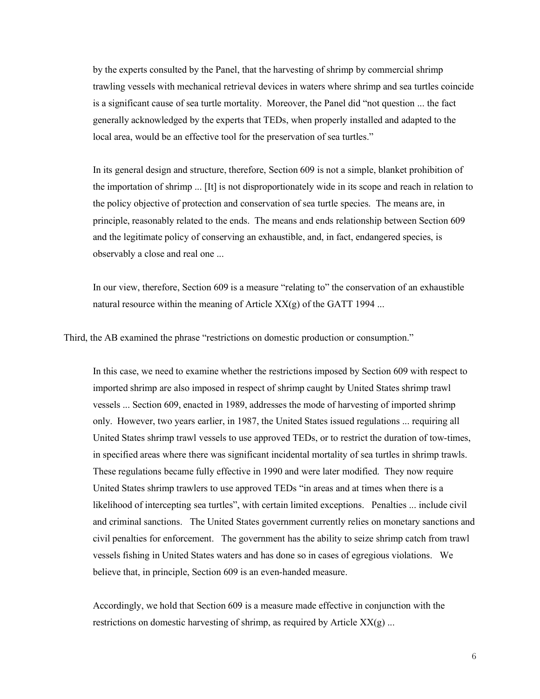by the experts consulted by the Panel, that the harvesting of shrimp by commercial shrimp trawling vessels with mechanical retrieval devices in waters where shrimp and sea turtles coincide is a significant cause of sea turtle mortality. Moreover, the Panel did "not question ... the fact generally acknowledged by the experts that TEDs, when properly installed and adapted to the local area, would be an effective tool for the preservation of sea turtles."

In its general design and structure, therefore, Section 609 is not a simple, blanket prohibition of the importation of shrimp ... [It] is not disproportionately wide in its scope and reach in relation to the policy objective of protection and conservation of sea turtle species. The means are, in principle, reasonably related to the ends. The means and ends relationship between Section 609 and the legitimate policy of conserving an exhaustible, and, in fact, endangered species, is observably a close and real one ...

In our view, therefore, Section 609 is a measure "relating to" the conservation of an exhaustible natural resource within the meaning of Article  $XX(g)$  of the GATT 1994 ...

Third, the AB examined the phrase "restrictions on domestic production or consumption."

In this case, we need to examine whether the restrictions imposed by Section 609 with respect to imported shrimp are also imposed in respect of shrimp caught by United States shrimp trawl vessels ... Section 609, enacted in 1989, addresses the mode of harvesting of imported shrimp only. However, two years earlier, in 1987, the United States issued regulations ... requiring all United States shrimp trawl vessels to use approved TEDs, or to restrict the duration of tow-times, in specified areas where there was significant incidental mortality of sea turtles in shrimp trawls. These regulations became fully effective in 1990 and were later modified. They now require United States shrimp trawlers to use approved TEDs "in areas and at times when there is a likelihood of intercepting sea turtles", with certain limited exceptions. Penalties ... include civil and criminal sanctions. The United States government currently relies on monetary sanctions and civil penalties for enforcement. The government has the ability to seize shrimp catch from trawl vessels fishing in United States waters and has done so in cases of egregious violations. We believe that, in principle, Section 609 is an even-handed measure.

Accordingly, we hold that Section 609 is a measure made effective in conjunction with the restrictions on domestic harvesting of shrimp, as required by Article  $XX(g)$ ...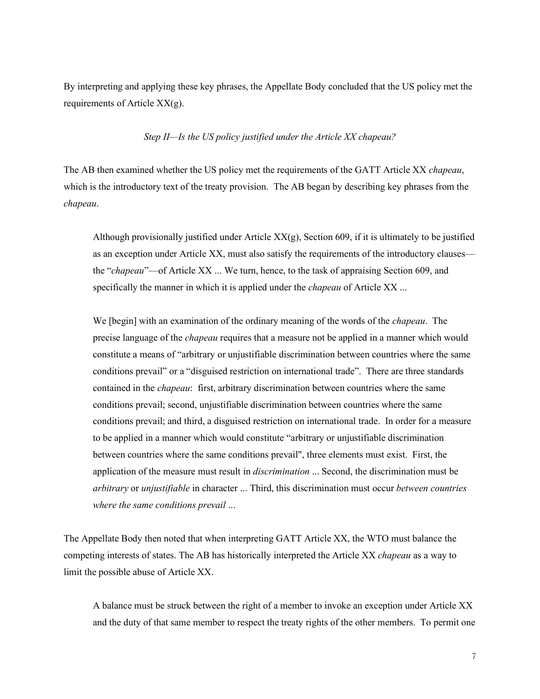By interpreting and applying these key phrases, the Appellate Body concluded that the US policy met the requirements of Article XX(g).

### *Step II—Is the US policy justified under the Article XX chapeau?*

The AB then examined whether the US policy met the requirements of the GATT Article XX *chapeau*, which is the introductory text of the treaty provision. The AB began by describing key phrases from the *chapeau*.

Although provisionally justified under Article  $XX(g)$ , Section 609, if it is ultimately to be justified as an exception under Article XX, must also satisfy the requirements of the introductory clauses the "*chapeau*"—of Article XX ... We turn, hence, to the task of appraising Section 609, and specifically the manner in which it is applied under the *chapeau* of Article XX ...

We [begin] with an examination of the ordinary meaning of the words of the *chapeau*. The precise language of the *chapeau* requires that a measure not be applied in a manner which would constitute a means of "arbitrary or unjustifiable discrimination between countries where the same conditions prevail" or a "disguised restriction on international trade". There are three standards contained in the *chapeau*: first, arbitrary discrimination between countries where the same conditions prevail; second, unjustifiable discrimination between countries where the same conditions prevail; and third, a disguised restriction on international trade. In order for a measure to be applied in a manner which would constitute "arbitrary or unjustifiable discrimination between countries where the same conditions prevail", three elements must exist. First, the application of the measure must result in *discrimination* ... Second, the discrimination must be *arbitrary* or *unjustifiable* in character ... Third, this discrimination must occur *between countries where the same conditions prevail* ...

The Appellate Body then noted that when interpreting GATT Article XX, the WTO must balance the competing interests of states. The AB has historically interpreted the Article XX *chapeau* as a way to limit the possible abuse of Article XX.

A balance must be struck between the right of a member to invoke an exception under Article XX and the duty of that same member to respect the treaty rights of the other members. To permit one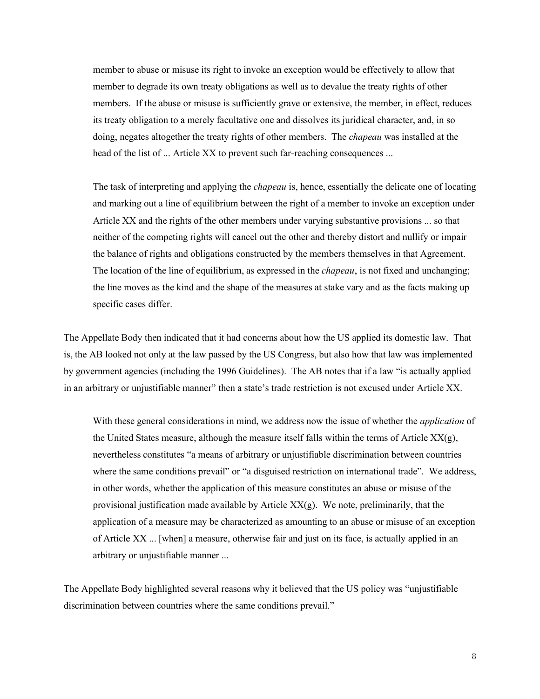member to abuse or misuse its right to invoke an exception would be effectively to allow that member to degrade its own treaty obligations as well as to devalue the treaty rights of other members. If the abuse or misuse is sufficiently grave or extensive, the member, in effect, reduces its treaty obligation to a merely facultative one and dissolves its juridical character, and, in so doing, negates altogether the treaty rights of other members. The *chapeau* was installed at the head of the list of ... Article XX to prevent such far-reaching consequences ...

The task of interpreting and applying the *chapeau* is, hence, essentially the delicate one of locating and marking out a line of equilibrium between the right of a member to invoke an exception under Article XX and the rights of the other members under varying substantive provisions ... so that neither of the competing rights will cancel out the other and thereby distort and nullify or impair the balance of rights and obligations constructed by the members themselves in that Agreement. The location of the line of equilibrium, as expressed in the *chapeau*, is not fixed and unchanging; the line moves as the kind and the shape of the measures at stake vary and as the facts making up specific cases differ.

The Appellate Body then indicated that it had concerns about how the US applied its domestic law. That is, the AB looked not only at the law passed by the US Congress, but also how that law was implemented by government agencies (including the 1996 Guidelines). The AB notes that if a law "is actually applied in an arbitrary or unjustifiable manner" then a state's trade restriction is not excused under Article XX.

With these general considerations in mind, we address now the issue of whether the *application* of the United States measure, although the measure itself falls within the terms of Article  $XX(g)$ , nevertheless constitutes "a means of arbitrary or unjustifiable discrimination between countries where the same conditions prevail" or "a disguised restriction on international trade". We address, in other words, whether the application of this measure constitutes an abuse or misuse of the provisional justification made available by Article  $XX(g)$ . We note, preliminarily, that the application of a measure may be characterized as amounting to an abuse or misuse of an exception of Article XX ... [when] a measure, otherwise fair and just on its face, is actually applied in an arbitrary or unjustifiable manner ...

The Appellate Body highlighted several reasons why it believed that the US policy was "unjustifiable discrimination between countries where the same conditions prevail."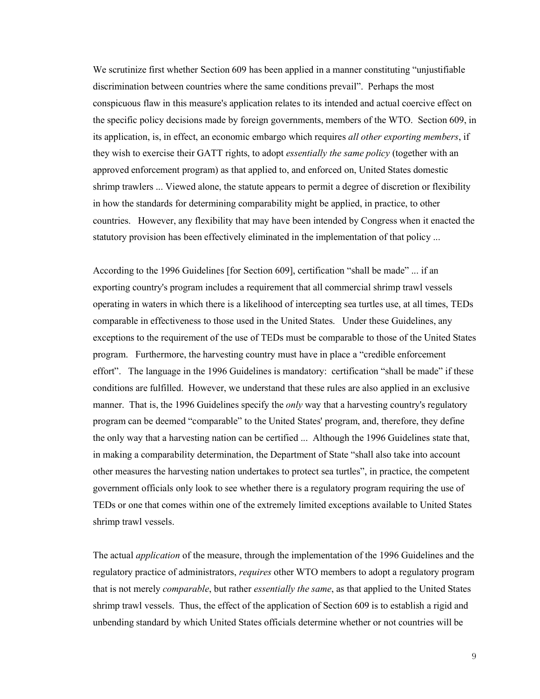We scrutinize first whether Section 609 has been applied in a manner constituting "unjustifiable discrimination between countries where the same conditions prevail". Perhaps the most conspicuous flaw in this measure's application relates to its intended and actual coercive effect on the specific policy decisions made by foreign governments, members of the WTO. Section 609, in its application, is, in effect, an economic embargo which requires *all other exporting members*, if they wish to exercise their GATT rights, to adopt *essentially the same policy* (together with an approved enforcement program) as that applied to, and enforced on, United States domestic shrimp trawlers ... Viewed alone, the statute appears to permit a degree of discretion or flexibility in how the standards for determining comparability might be applied, in practice, to other countries. However, any flexibility that may have been intended by Congress when it enacted the statutory provision has been effectively eliminated in the implementation of that policy ...

According to the 1996 Guidelines [for Section 609], certification "shall be made" ... if an exporting country's program includes a requirement that all commercial shrimp trawl vessels operating in waters in which there is a likelihood of intercepting sea turtles use, at all times, TEDs comparable in effectiveness to those used in the United States. Under these Guidelines, any exceptions to the requirement of the use of TEDs must be comparable to those of the United States program. Furthermore, the harvesting country must have in place a "credible enforcement effort". The language in the 1996 Guidelines is mandatory: certification "shall be made" if these conditions are fulfilled. However, we understand that these rules are also applied in an exclusive manner. That is, the 1996 Guidelines specify the *only* way that a harvesting country's regulatory program can be deemed "comparable" to the United States' program, and, therefore, they define the only way that a harvesting nation can be certified ... Although the 1996 Guidelines state that, in making a comparability determination, the Department of State "shall also take into account other measures the harvesting nation undertakes to protect sea turtles", in practice, the competent government officials only look to see whether there is a regulatory program requiring the use of TEDs or one that comes within one of the extremely limited exceptions available to United States shrimp trawl vessels.

The actual *application* of the measure, through the implementation of the 1996 Guidelines and the regulatory practice of administrators, *requires* other WTO members to adopt a regulatory program that is not merely *comparable*, but rather *essentially the same*, as that applied to the United States shrimp trawl vessels. Thus, the effect of the application of Section 609 is to establish a rigid and unbending standard by which United States officials determine whether or not countries will be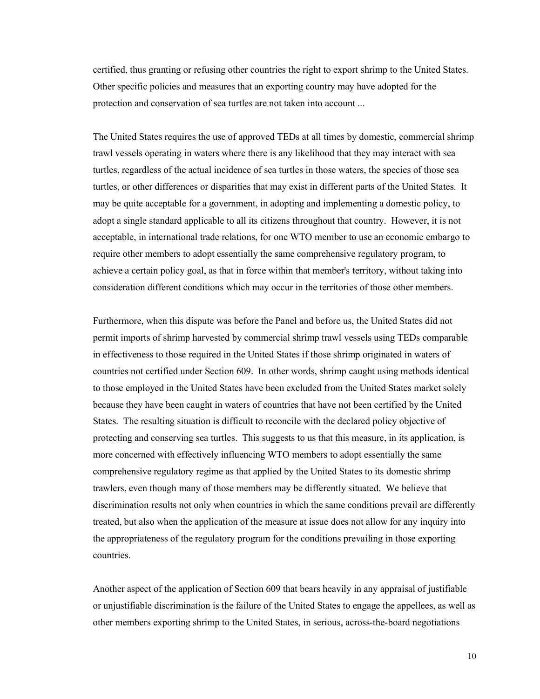certified, thus granting or refusing other countries the right to export shrimp to the United States. Other specific policies and measures that an exporting country may have adopted for the protection and conservation of sea turtles are not taken into account ...

The United States requires the use of approved TEDs at all times by domestic, commercial shrimp trawl vessels operating in waters where there is any likelihood that they may interact with sea turtles, regardless of the actual incidence of sea turtles in those waters, the species of those sea turtles, or other differences or disparities that may exist in different parts of the United States. It may be quite acceptable for a government, in adopting and implementing a domestic policy, to adopt a single standard applicable to all its citizens throughout that country. However, it is not acceptable, in international trade relations, for one WTO member to use an economic embargo to require other members to adopt essentially the same comprehensive regulatory program, to achieve a certain policy goal, as that in force within that member's territory, without taking into consideration different conditions which may occur in the territories of those other members.

Furthermore, when this dispute was before the Panel and before us, the United States did not permit imports of shrimp harvested by commercial shrimp trawl vessels using TEDs comparable in effectiveness to those required in the United States if those shrimp originated in waters of countries not certified under Section 609. In other words, shrimp caught using methods identical to those employed in the United States have been excluded from the United States market solely because they have been caught in waters of countries that have not been certified by the United States. The resulting situation is difficult to reconcile with the declared policy objective of protecting and conserving sea turtles. This suggests to us that this measure, in its application, is more concerned with effectively influencing WTO members to adopt essentially the same comprehensive regulatory regime as that applied by the United States to its domestic shrimp trawlers, even though many of those members may be differently situated. We believe that discrimination results not only when countries in which the same conditions prevail are differently treated, but also when the application of the measure at issue does not allow for any inquiry into the appropriateness of the regulatory program for the conditions prevailing in those exporting countries.

Another aspect of the application of Section 609 that bears heavily in any appraisal of justifiable or unjustifiable discrimination is the failure of the United States to engage the appellees, as well as other members exporting shrimp to the United States, in serious, across-the-board negotiations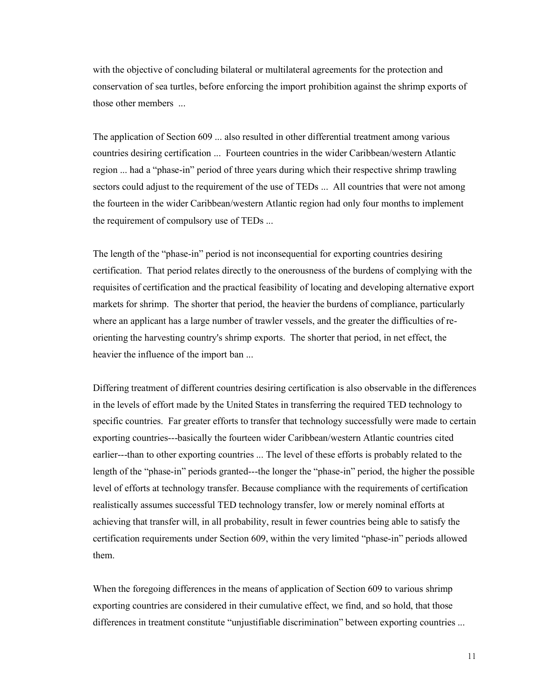with the objective of concluding bilateral or multilateral agreements for the protection and conservation of sea turtles, before enforcing the import prohibition against the shrimp exports of those other members ...

The application of Section 609 ... also resulted in other differential treatment among various countries desiring certification ... Fourteen countries in the wider Caribbean/western Atlantic region ... had a "phase-in" period of three years during which their respective shrimp trawling sectors could adjust to the requirement of the use of TEDs ... All countries that were not among the fourteen in the wider Caribbean/western Atlantic region had only four months to implement the requirement of compulsory use of TEDs ...

The length of the "phase-in" period is not inconsequential for exporting countries desiring certification. That period relates directly to the onerousness of the burdens of complying with the requisites of certification and the practical feasibility of locating and developing alternative export markets for shrimp. The shorter that period, the heavier the burdens of compliance, particularly where an applicant has a large number of trawler vessels, and the greater the difficulties of reorienting the harvesting country's shrimp exports. The shorter that period, in net effect, the heavier the influence of the import ban ...

Differing treatment of different countries desiring certification is also observable in the differences in the levels of effort made by the United States in transferring the required TED technology to specific countries. Far greater efforts to transfer that technology successfully were made to certain exporting countries---basically the fourteen wider Caribbean/western Atlantic countries cited earlier---than to other exporting countries ... The level of these efforts is probably related to the length of the "phase-in" periods granted---the longer the "phase-in" period, the higher the possible level of efforts at technology transfer. Because compliance with the requirements of certification realistically assumes successful TED technology transfer, low or merely nominal efforts at achieving that transfer will, in all probability, result in fewer countries being able to satisfy the certification requirements under Section 609, within the very limited "phase-in" periods allowed them.

When the foregoing differences in the means of application of Section 609 to various shrimp exporting countries are considered in their cumulative effect, we find, and so hold, that those differences in treatment constitute "unjustifiable discrimination" between exporting countries ...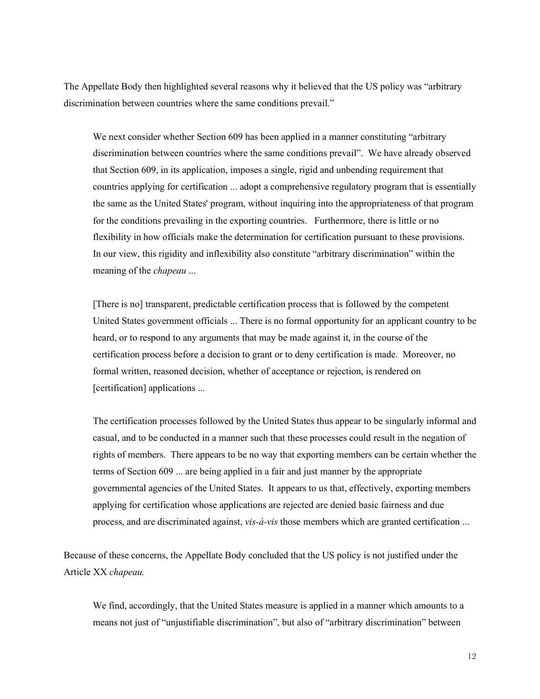The Appellate Body then highlighted several reasons why it believed that the US policy was "arbitrary discrimination between countries where the same conditions prevail."

We next consider whether Section 609 has been applied in a manner constituting "arbitrary" discrimination between countries where the same conditions prevail". We have already observed that Section 609, in its application, imposes a single, rigid and unbending requirement that countries applying for certification ... adopt a comprehensive regulatory program that is essentially the same as the United States' program, without inquiring into the appropriateness of that program for the conditions prevailing in the exporting countries. Furthermore, there is little or no flexibility in how officials make the determination for certification pursuant to these provisions. In our view, this rigidity and inflexibility also constitute "arbitrary discrimination" within the meaning of the *chapeau* ...

[There is no] transparent, predictable certification process that is followed by the competent United States government officials ... There is no formal opportunity for an applicant country to be heard, or to respond to any arguments that may be made against it, in the course of the certification process before a decision to grant or to deny certification is made. Moreover, no formal written, reasoned decision, whether of acceptance or rejection, is rendered on [certification] applications ...

The certification processes followed by the United States thus appear to be singularly informal and casual, and to be conducted in a manner such that these processes could result in the negation of rights of members. There appears to be no way that exporting members can be certain whether the terms of Section 609 ... are being applied in a fair and just manner by the appropriate governmental agencies of the United States. It appears to us that, effectively, exporting members applying for certification whose applications are rejected are denied basic fairness and due process, and are discriminated against, *vis-à-vis* those members which are granted certification ...

Because of these concerns, the Appellate Body concluded that the US policy is not justified under the Article XX *chapeau.*

We find, accordingly, that the United States measure is applied in a manner which amounts to a means not just of "unjustifiable discrimination", but also of "arbitrary discrimination" between